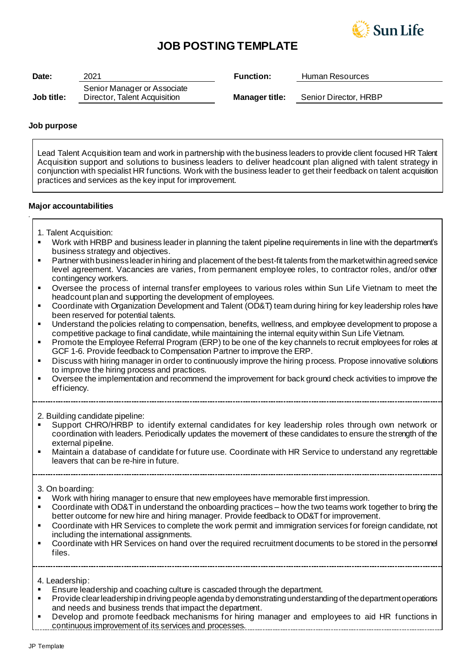

# **JOB POSTING TEMPLATE**

| Date:      | 2021                         | <b>Function:</b>      | Human Resources       |
|------------|------------------------------|-----------------------|-----------------------|
|            | Senior Manager or Associate  |                       |                       |
| Job title: | Director, Talent Acquisition | <b>Manager title:</b> | Senior Director, HRBP |

## **Job purpose**

*.*

Lead Talent Acquisition team and work in partnership with the business leaders to provide client focused HR Talent Acquisition support and solutions to business leaders to deliver headcount plan aligned with talent strategy in conjunction with specialist HR functions. Work with the business leader to get their feedback on talent acquisition practices and services as the key input for improvement.

## **Major accountabilities**

- 1. Talent Acquisition:
- Work with HRBP and business leader in planning the talent pipeline requirements in line with the department's business strategy and objectives.
- Partner with business leader in hiring and placement of the best-fit talents from the market within agreed service level agreement. Vacancies are varies, from permanent employee roles, to contractor roles, and/or other contingency workers.
- Oversee the process of internal transfer employees to various roles within Sun Life Vietnam to meet the headcount plan and supporting the development of employees.
- Coordinate with Organization Development and Talent (OD&T) team during hiring for key leadership roles have been reserved for potential talents.
- Understand the policies relating to compensation, benefits, wellness, and employee development to propose a competitive package to final candidate, while maintaining the internal equity within Sun Life Vietnam.
- Promote the Employee Referral Program (ERP) to be one of the key channels to recruit employees for roles at GCF 1-6. Provide feedback to Compensation Partner to improve the ERP.
- Discuss with hiring manager in order to continuously improve the hiring process. Propose innovative solutions to improve the hiring process and practices.
- Oversee the implementation and recommend the improvement for back ground check activities to improve the efficiency.

2. Building candidate pipeline:

- Support CHRO/HRBP to identify external candidates for key leadership roles through own network or coordination with leaders. Periodically updates the movement of these candidates to ensure the strength of the external pipeline.
- Maintain a database of candidate for future use. Coordinate with HR Service to understand any regrettable leavers that can be re-hire in future.

3. On boarding:

- Work with hiring manager to ensure that new employees have memorable first impression.
- Coordinate with OD&T in understand the onboarding practices how the two teams work together to bring the better outcome for new hire and hiring manager. Provide feedback to OD&T for improvement.
- Coordinate with HR Services to complete the work permit and immigration services for foreign candidate, not including the international assignments.
- Coordinate with HR Services on hand over the required recruitment documents to be stored in the personnel files.

4. Leadership:

- Ensure leadership and coaching culture is cascaded through the department.
- Provide clear leadership in driving people agenda by demonstrating understanding of the department operations and needs and business trends that impact the department.
- Develop and promote feedback mechanisms for hiring manager and employees to aid HR functions in continuous improvement of its services and processes.